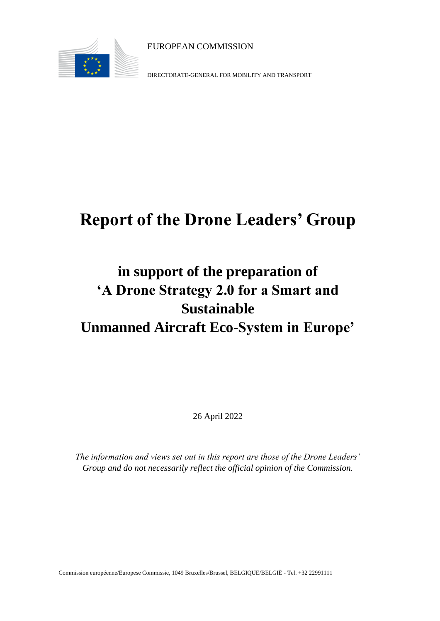

EUROPEAN COMMISSION

DIRECTORATE-GENERAL FOR MOBILITY AND TRANSPORT

# **Report of the Drone Leaders' Group**

## **in support of the preparation of 'A Drone Strategy 2.0 for a Smart and Sustainable Unmanned Aircraft Eco-System in Europe'**

26 April 2022

*The information and views set out in this report are those of the Drone Leaders' Group and do not necessarily reflect the official opinion of the Commission.*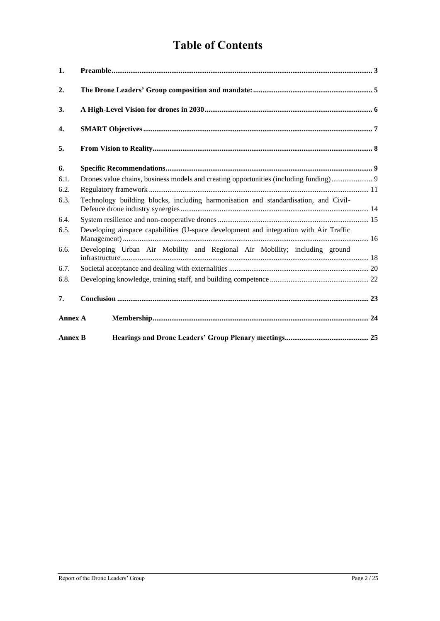### **Table of Contents**

| 1.             |                                                                                        |  |  |
|----------------|----------------------------------------------------------------------------------------|--|--|
| 2.             |                                                                                        |  |  |
| 3.             |                                                                                        |  |  |
| 4.             |                                                                                        |  |  |
| 5.             |                                                                                        |  |  |
| 6.             |                                                                                        |  |  |
| 6.1.           |                                                                                        |  |  |
| 6.2.           |                                                                                        |  |  |
| 6.3.           | Technology building blocks, including harmonisation and standardisation, and Civil-    |  |  |
| 6.4.           |                                                                                        |  |  |
| 6.5.           | Developing airspace capabilities (U-space development and integration with Air Traffic |  |  |
| 6.6.           | Developing Urban Air Mobility and Regional Air Mobility; including ground              |  |  |
| 6.7.           |                                                                                        |  |  |
| 6.8.           |                                                                                        |  |  |
| 7.             |                                                                                        |  |  |
| <b>Annex A</b> |                                                                                        |  |  |
| <b>Annex B</b> |                                                                                        |  |  |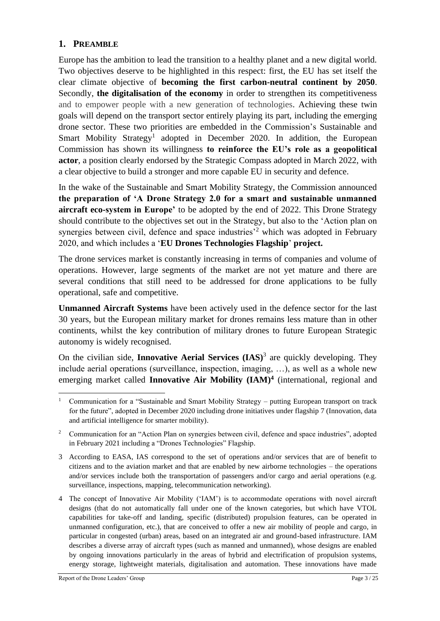#### <span id="page-2-0"></span>**1. PREAMBLE**

Europe has the ambition to lead the transition to a healthy planet and a new digital world. Two objectives deserve to be highlighted in this respect: first, the EU has set itself the clear climate objective of **becoming the first carbon-neutral continent by 2050**. Secondly, **the digitalisation of the economy** in order to strengthen its competitiveness and to empower people with a new generation of technologies. Achieving these twin goals will depend on the transport sector entirely playing its part, including the emerging drone sector. These two priorities are embedded in the Commission's Sustainable and Smart Mobility Strategy<sup>1</sup> adopted in December 2020. In addition, the European Commission has shown its willingness **to reinforce the EU's role as a geopolitical actor**, a position clearly endorsed by the Strategic Compass adopted in March 2022, with a clear objective to build a stronger and more capable EU in security and defence.

In the wake of the Sustainable and Smart Mobility Strategy, the Commission announced **the preparation of 'A Drone Strategy 2.0 for a smart and sustainable unmanned aircraft eco-system in Europe'** to be adopted by the end of 2022. This Drone Strategy should contribute to the objectives set out in the Strategy, but also to the 'Action plan on synergies between civil, defence and space industries<sup>2</sup> which was adopted in February 2020, and which includes a '**EU Drones Technologies Flagship**' **project.**

The drone services market is constantly increasing in terms of companies and volume of operations. However, large segments of the market are not yet mature and there are several conditions that still need to be addressed for drone applications to be fully operational, safe and competitive.

**Unmanned Aircraft Systems** have been actively used in the defence sector for the last 30 years, but the European military market for drones remains less mature than in other continents, whilst the key contribution of military drones to future European Strategic autonomy is widely recognised.

On the civilian side, **Innovative Aerial Services (IAS)**<sup>3</sup> are quickly developing. They include aerial operations (surveillance, inspection, imaging, …), as well as a whole new emerging market called **Innovative Air Mobility (IAM)<sup>4</sup>** (international, regional and

<sup>&</sup>lt;sup>1</sup> Communication for a "Sustainable and Smart Mobility Strategy – putting European transport on track for the future", adopted in December 2020 including drone initiatives under flagship 7 (Innovation, data and artificial intelligence for smarter mobility).

<sup>&</sup>lt;sup>2</sup> Communication for an "Action Plan on synergies between civil, defence and space industries", adopted in February 2021 including a "Drones Technologies" Flagship.

<sup>3</sup> According to EASA, IAS correspond to the set of operations and/or services that are of benefit to citizens and to the aviation market and that are enabled by new airborne technologies – the operations and/or services include both the transportation of passengers and/or cargo and aerial operations (e.g. surveillance, inspections, mapping, telecommunication networking).

<sup>4</sup> The concept of Innovative Air Mobility ('IAM') is to accommodate operations with novel aircraft designs (that do not automatically fall under one of the known categories, but which have VTOL capabilities for take-off and landing, specific (distributed) propulsion features, can be operated in unmanned configuration, etc.), that are conceived to offer a new air mobility of people and cargo, in particular in congested (urban) areas, based on an integrated air and ground-based infrastructure. IAM describes a diverse array of aircraft types (such as manned and unmanned), whose designs are enabled by ongoing innovations particularly in the areas of hybrid and electrification of propulsion systems, energy storage, lightweight materials, digitalisation and automation. These innovations have made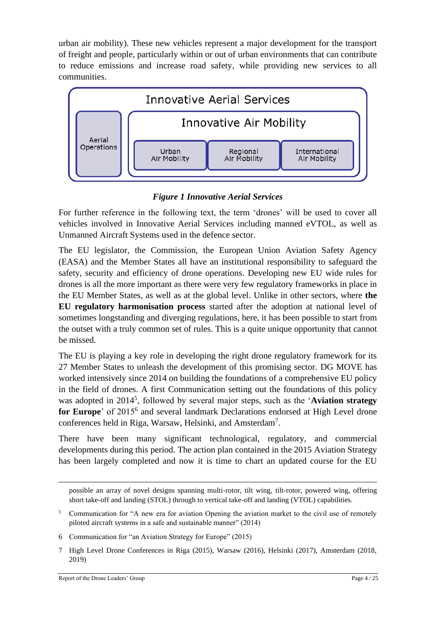urban air mobility). These new vehicles represent a major development for the transport of freight and people, particularly within or out of urban environments that can contribute to reduce emissions and increase road safety, while providing new services to all communities.



*Figure 1 Innovative Aerial Services*

For further reference in the following text, the term 'drones' will be used to cover all vehicles involved in Innovative Aerial Services including manned eVTOL, as well as Unmanned Aircraft Systems used in the defence sector.

The EU legislator, the Commission, the European Union Aviation Safety Agency (EASA) and the Member States all have an institutional responsibility to safeguard the safety, security and efficiency of drone operations. Developing new EU wide rules for drones is all the more important as there were very few regulatory frameworks in place in the EU Member States, as well as at the global level. Unlike in other sectors, where **the EU regulatory harmonisation process** started after the adoption at national level of sometimes longstanding and diverging regulations, here, it has been possible to start from the outset with a truly common set of rules. This is a quite unique opportunity that cannot be missed.

The EU is playing a key role in developing the right drone regulatory framework for its 27 Member States to unleash the development of this promising sector. DG MOVE has worked intensively since 2014 on building the foundations of a comprehensive EU policy in the field of drones. A first Communication setting out the foundations of this policy was adopted in 2014<sup>5</sup> , followed by several major steps, such as the '**Aviation strategy**  for Europe' of 2015<sup>6</sup> and several landmark Declarations endorsed at High Level drone conferences held in Riga, Warsaw, Helsinki, and Amsterdam<sup>7</sup>.

There have been many significant technological, regulatory, and commercial developments during this period. The action plan contained in the 2015 Aviation Strategy has been largely completed and now it is time to chart an updated course for the EU

possible an array of novel designs spanning multi-rotor, tilt wing, tilt-rotor, powered wing, offering short take-off and landing (STOL) through to vertical take-off and landing (VTOL) capabilities.

<sup>&</sup>lt;sup>5</sup> Communication for "A new era for aviation Opening the aviation market to the civil use of remotely piloted aircraft systems in a safe and sustainable manner" (2014)

<sup>6</sup> Communication for "an Aviation Strategy for Europe" (2015)

<sup>7</sup> High Level Drone Conferences in Riga (2015), Warsaw (2016), Helsinki (2017), Amsterdam (2018, 2019)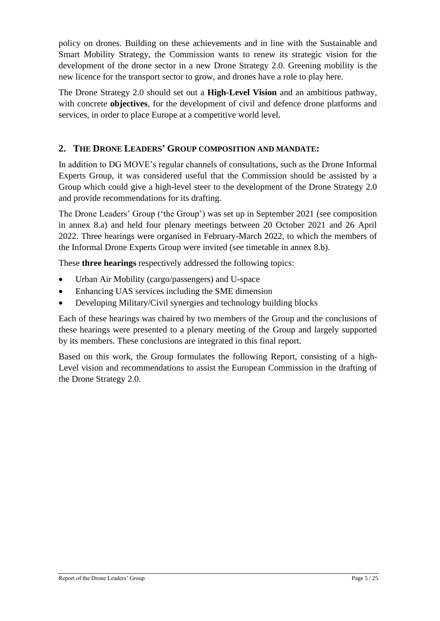policy on drones. Building on these achievements and in line with the Sustainable and Smart Mobility Strategy, the Commission wants to renew its strategic vision for the development of the drone sector in a new Drone Strategy 2.0. Greening mobility is the new licence for the transport sector to grow, and drones have a role to play here.

The Drone Strategy 2.0 should set out a **High-Level Vision** and an ambitious pathway, with concrete **objectives**, for the development of civil and defence drone platforms and services, in order to place Europe at a competitive world level.

#### <span id="page-4-0"></span>**2. THE DRONE LEADERS' GROUP COMPOSITION AND MANDATE:**

In addition to DG MOVE's regular channels of consultations, such as the Drone Informal Experts Group, it was considered useful that the Commission should be assisted by a Group which could give a high-level steer to the development of the Drone Strategy 2.0 and provide recommendations for its drafting.

The Drone Leaders' Group ('the Group') was set up in September 2021 (see composition in annex 8.a) and held four plenary meetings between 20 October 2021 and 26 April 2022. Three hearings were organised in February-March 2022, to which the members of the Informal Drone Experts Group were invited (see timetable in annex 8.b).

These **three hearings** respectively addressed the following topics:

- Urban Air Mobility (cargo/passengers) and U-space
- Enhancing UAS services including the SME dimension
- Developing Military/Civil synergies and technology building blocks

Each of these hearings was chaired by two members of the Group and the conclusions of these hearings were presented to a plenary meeting of the Group and largely supported by its members. These conclusions are integrated in this final report.

Based on this work, the Group formulates the following Report, consisting of a high-Level vision and recommendations to assist the European Commission in the drafting of the Drone Strategy 2.0.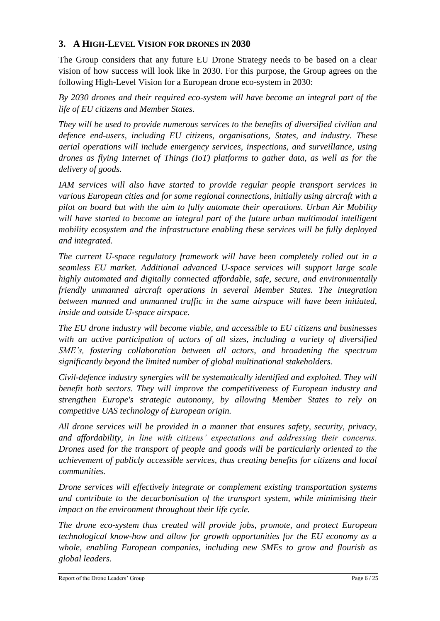#### <span id="page-5-0"></span>**3. A HIGH-LEVEL VISION FOR DRONES IN 2030**

The Group considers that any future EU Drone Strategy needs to be based on a clear vision of how success will look like in 2030. For this purpose, the Group agrees on the following High-Level Vision for a European drone eco-system in 2030:

*By 2030 drones and their required eco-system will have become an integral part of the life of EU citizens and Member States.*

*They will be used to provide numerous services to the benefits of diversified civilian and defence end-users, including EU citizens, organisations, States, and industry. These aerial operations will include emergency services, inspections, and surveillance, using drones as flying Internet of Things (IoT) platforms to gather data, as well as for the delivery of goods.*

*IAM services will also have started to provide regular people transport services in various European cities and for some regional connections, initially using aircraft with a pilot on board but with the aim to fully automate their operations. Urban Air Mobility will have started to become an integral part of the future urban multimodal intelligent mobility ecosystem and the infrastructure enabling these services will be fully deployed and integrated.*

*The current U-space regulatory framework will have been completely rolled out in a seamless EU market. Additional advanced U-space services will support large scale highly automated and digitally connected affordable, safe, secure, and environmentally friendly unmanned aircraft operations in several Member States. The integration between manned and unmanned traffic in the same airspace will have been initiated, inside and outside U-space airspace.*

*The EU drone industry will become viable, and accessible to EU citizens and businesses with an active participation of actors of all sizes, including a variety of diversified SME's, fostering collaboration between all actors, and broadening the spectrum significantly beyond the limited number of global multinational stakeholders.* 

*Civil-defence industry synergies will be systematically identified and exploited. They will benefit both sectors. They will improve the competitiveness of European industry and strengthen Europe's strategic autonomy, by allowing Member States to rely on competitive UAS technology of European origin.* 

*All drone services will be provided in a manner that ensures safety, security, privacy, and affordability, in line with citizens' expectations and addressing their concerns. Drones used for the transport of people and goods will be particularly oriented to the achievement of publicly accessible services, thus creating benefits for citizens and local communities.*

*Drone services will effectively integrate or complement existing transportation systems and contribute to the decarbonisation of the transport system, while minimising their impact on the environment throughout their life cycle.* 

*The drone eco-system thus created will provide jobs, promote, and protect European technological know-how and allow for growth opportunities for the EU economy as a whole, enabling European companies, including new SMEs to grow and flourish as global leaders.*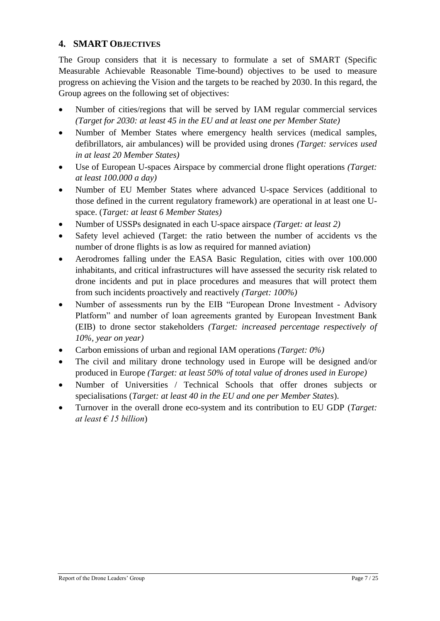#### <span id="page-6-0"></span>**4. SMART OBJECTIVES**

The Group considers that it is necessary to formulate a set of SMART (Specific Measurable Achievable Reasonable Time-bound) objectives to be used to measure progress on achieving the Vision and the targets to be reached by 2030. In this regard, the Group agrees on the following set of objectives:

- Number of cities/regions that will be served by IAM regular commercial services *(Target for 2030: at least 45 in the EU and at least one per Member State)*
- Number of Member States where emergency health services (medical samples, defibrillators, air ambulances) will be provided using drones *(Target: services used in at least 20 Member States)*
- Use of European U-spaces Airspace by commercial drone flight operations *(Target: at least 100.000 a day)*
- Number of EU Member States where advanced U-space Services (additional to those defined in the current regulatory framework) are operational in at least one Uspace. (*Target: at least 6 Member States)*
- Number of USSPs designated in each U-space airspace *(Target: at least 2)*
- Safety level achieved (Target: the ratio between the number of accidents vs the number of drone flights is as low as required for manned aviation)
- Aerodromes falling under the EASA Basic Regulation, cities with over 100.000 inhabitants, and critical infrastructures will have assessed the security risk related to drone incidents and put in place procedures and measures that will protect them from such incidents proactively and reactively *(Target: 100%)*
- Number of assessments run by the EIB "European Drone Investment Advisory Platform" and number of loan agreements granted by European Investment Bank (EIB) to drone sector stakeholders *(Target: increased percentage respectively of 10%, year on year)*
- Carbon emissions of urban and regional IAM operations *(Target: 0%)*
- The civil and military drone technology used in Europe will be designed and/or produced in Europe *(Target: at least 50% of total value of drones used in Europe)*
- Number of Universities / Technical Schools that offer drones subjects or specialisations (*Target: at least 40 in the EU and one per Member States*).
- Turnover in the overall drone eco-system and its contribution to EU GDP (*Target: at least € 15 billion*)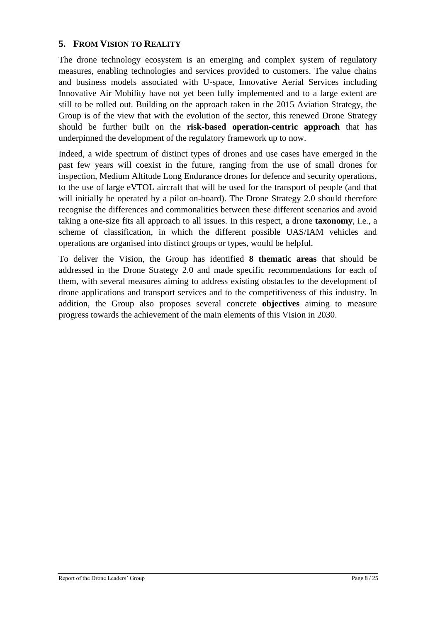#### <span id="page-7-0"></span>**5. FROM VISION TO REALITY**

The drone technology ecosystem is an emerging and complex system of regulatory measures, enabling technologies and services provided to customers. The value chains and business models associated with U-space, Innovative Aerial Services including Innovative Air Mobility have not yet been fully implemented and to a large extent are still to be rolled out. Building on the approach taken in the 2015 Aviation Strategy, the Group is of the view that with the evolution of the sector, this renewed Drone Strategy should be further built on the **risk-based operation-centric approach** that has underpinned the development of the regulatory framework up to now.

Indeed, a wide spectrum of distinct types of drones and use cases have emerged in the past few years will coexist in the future, ranging from the use of small drones for inspection, Medium Altitude Long Endurance drones for defence and security operations, to the use of large eVTOL aircraft that will be used for the transport of people (and that will initially be operated by a pilot on-board). The Drone Strategy 2.0 should therefore recognise the differences and commonalities between these different scenarios and avoid taking a one-size fits all approach to all issues. In this respect, a drone **taxonomy**, i.e., a scheme of classification, in which the different possible UAS/IAM vehicles and operations are organised into distinct groups or types, would be helpful.

To deliver the Vision, the Group has identified **8 thematic areas** that should be addressed in the Drone Strategy 2.0 and made specific recommendations for each of them, with several measures aiming to address existing obstacles to the development of drone applications and transport services and to the competitiveness of this industry. In addition, the Group also proposes several concrete **objectives** aiming to measure progress towards the achievement of the main elements of this Vision in 2030.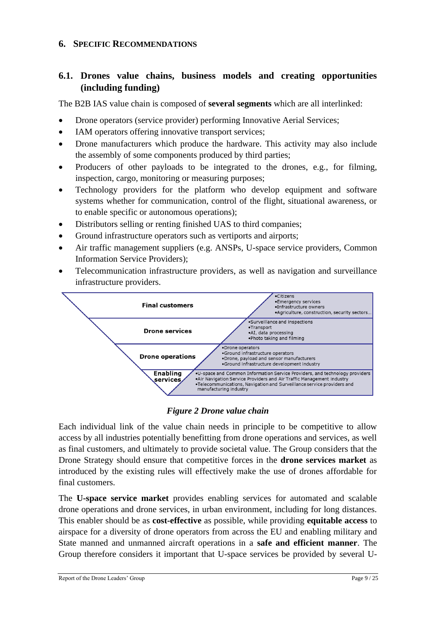#### <span id="page-8-1"></span><span id="page-8-0"></span>**6. SPECIFIC RECOMMENDATIONS**

#### **6.1. Drones value chains, business models and creating opportunities (including funding)**

The B2B IAS value chain is composed of **several segments** which are all interlinked:

- Drone operators (service provider) performing Innovative Aerial Services;
- IAM operators offering innovative transport services;
- Drone manufacturers which produce the hardware. This activity may also include the assembly of some components produced by third parties;
- Producers of other payloads to be integrated to the drones, e.g., for filming, inspection, cargo, monitoring or measuring purposes;
- Technology providers for the platform who develop equipment and software systems whether for communication, control of the flight, situational awareness, or to enable specific or autonomous operations);
- Distributors selling or renting finished UAS to third companies;
- Ground infrastructure operators such as vertiports and airports;
- Air traffic management suppliers (e.g. ANSPs, U-space service providers, Common Information Service Providers);
- Telecommunication infrastructure providers, as well as navigation and surveillance infrastructure providers.



#### *Figure 2 Drone value chain*

Each individual link of the value chain needs in principle to be competitive to allow access by all industries potentially benefitting from drone operations and services, as well as final customers, and ultimately to provide societal value. The Group considers that the Drone Strategy should ensure that competitive forces in the **drone services market** as introduced by the existing rules will effectively make the use of drones affordable for final customers.

The **U-space service market** provides enabling services for automated and scalable drone operations and drone services, in urban environment, including for long distances. This enabler should be as **cost-effective** as possible, while providing **equitable access** to airspace for a diversity of drone operators from across the EU and enabling military and State manned and unmanned aircraft operations in a **safe and efficient manner**. The Group therefore considers it important that U-space services be provided by several U-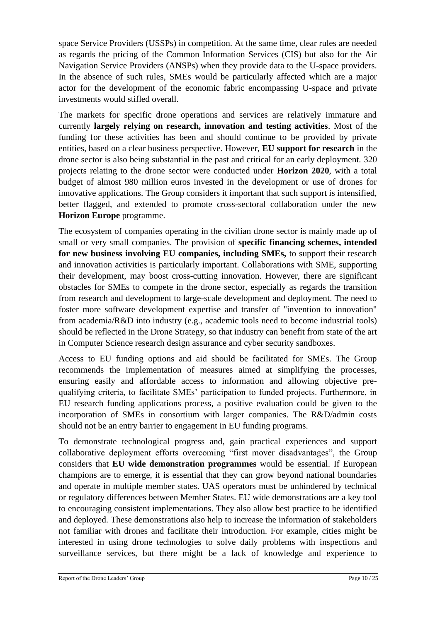space Service Providers (USSPs) in competition. At the same time, clear rules are needed as regards the pricing of the Common Information Services (CIS) but also for the Air Navigation Service Providers (ANSPs) when they provide data to the U-space providers. In the absence of such rules, SMEs would be particularly affected which are a major actor for the development of the economic fabric encompassing U-space and private investments would stifled overall.

The markets for specific drone operations and services are relatively immature and currently **largely relying on research, innovation and testing activities**. Most of the funding for these activities has been and should continue to be provided by private entities, based on a clear business perspective. However, **EU support for research** in the drone sector is also being substantial in the past and critical for an early deployment. 320 projects relating to the drone sector were conducted under **Horizon 2020**, with a total budget of almost 980 million euros invested in the development or use of drones for innovative applications. The Group considers it important that such support is intensified, better flagged, and extended to promote cross-sectoral collaboration under the new **Horizon Europe** programme.

The ecosystem of companies operating in the civilian drone sector is mainly made up of small or very small companies. The provision of **specific financing schemes, intended for new business involving EU companies, including SMEs,** to support their research and innovation activities is particularly important. Collaborations with SME, supporting their development, may boost cross-cutting innovation. However, there are significant obstacles for SMEs to compete in the drone sector, especially as regards the transition from research and development to large-scale development and deployment. The need to foster more software development expertise and transfer of "invention to innovation" from academia/R&D into industry (e.g., academic tools need to become industrial tools) should be reflected in the Drone Strategy, so that industry can benefit from state of the art in Computer Science research design assurance and cyber security sandboxes.

Access to EU funding options and aid should be facilitated for SMEs. The Group recommends the implementation of measures aimed at simplifying the processes, ensuring easily and affordable access to information and allowing objective prequalifying criteria, to facilitate SMEs' participation to funded projects. Furthermore, in EU research funding applications process, a positive evaluation could be given to the incorporation of SMEs in consortium with larger companies. The R&D/admin costs should not be an entry barrier to engagement in EU funding programs.

To demonstrate technological progress and, gain practical experiences and support collaborative deployment efforts overcoming "first mover disadvantages", the Group considers that **EU wide demonstration programmes** would be essential. If European champions are to emerge, it is essential that they can grow beyond national boundaries and operate in multiple member states. UAS operators must be unhindered by technical or regulatory differences between Member States. EU wide demonstrations are a key tool to encouraging consistent implementations. They also allow best practice to be identified and deployed. These demonstrations also help to increase the information of stakeholders not familiar with drones and facilitate their introduction. For example, cities might be interested in using drone technologies to solve daily problems with inspections and surveillance services, but there might be a lack of knowledge and experience to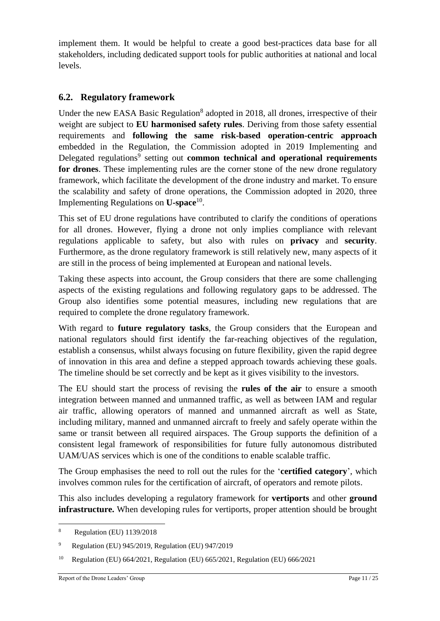implement them. It would be helpful to create a good best-practices data base for all stakeholders, including dedicated support tools for public authorities at national and local levels.

#### <span id="page-10-0"></span>**6.2. Regulatory framework**

Under the new EASA Basic Regulation<sup>8</sup> adopted in 2018, all drones, irrespective of their weight are subject to **EU harmonised safety rules**. Deriving from those safety essential requirements and **following the same risk-based operation-centric approach** embedded in the Regulation, the Commission adopted in 2019 Implementing and Delegated regulations<sup>9</sup> setting out **common technical and operational requirements for drones**. These implementing rules are the corner stone of the new drone regulatory framework, which facilitate the development of the drone industry and market. To ensure the scalability and safety of drone operations, the Commission adopted in 2020, three Implementing Regulations on **U-space**<sup>10</sup> .

This set of EU drone regulations have contributed to clarify the conditions of operations for all drones. However, flying a drone not only implies compliance with relevant regulations applicable to safety, but also with rules on **privacy** and **security**. Furthermore, as the drone regulatory framework is still relatively new, many aspects of it are still in the process of being implemented at European and national levels.

Taking these aspects into account, the Group considers that there are some challenging aspects of the existing regulations and following regulatory gaps to be addressed. The Group also identifies some potential measures, including new regulations that are required to complete the drone regulatory framework.

With regard to **future regulatory tasks**, the Group considers that the European and national regulators should first identify the far-reaching objectives of the regulation, establish a consensus, whilst always focusing on future flexibility, given the rapid degree of innovation in this area and define a stepped approach towards achieving these goals. The timeline should be set correctly and be kept as it gives visibility to the investors.

The EU should start the process of revising the **rules of the air** to ensure a smooth integration between manned and unmanned traffic, as well as between IAM and regular air traffic, allowing operators of manned and unmanned aircraft as well as State, including military, manned and unmanned aircraft to freely and safely operate within the same or transit between all required airspaces. The Group supports the definition of a consistent legal framework of responsibilities for future fully autonomous distributed UAM/UAS services which is one of the conditions to enable scalable traffic.

The Group emphasises the need to roll out the rules for the '**certified category**', which involves common rules for the certification of aircraft, of operators and remote pilots.

This also includes developing a regulatory framework for **vertiports** and other **ground infrastructure.** When developing rules for vertiports, proper attention should be brought

<sup>8</sup> Regulation (EU) 1139/2018

<sup>9</sup> Regulation (EU) 945/2019, Regulation (EU) 947/2019

<sup>10</sup> Regulation (EU) 664/2021, Regulation (EU) 665/2021, Regulation (EU) 666/2021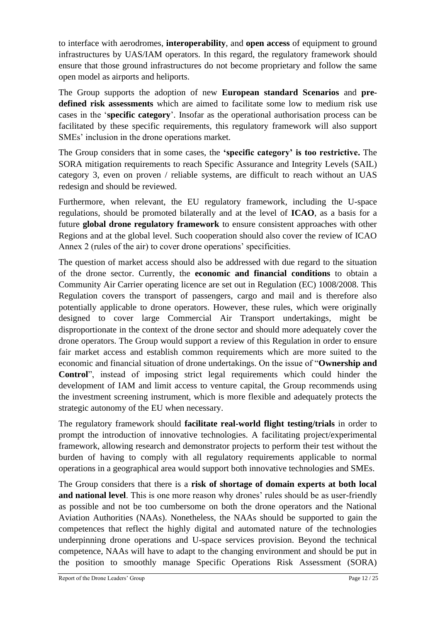to interface with aerodromes, **interoperability**, and **open access** of equipment to ground infrastructures by UAS/IAM operators. In this regard, the regulatory framework should ensure that those ground infrastructures do not become proprietary and follow the same open model as airports and heliports.

The Group supports the adoption of new **European standard Scenarios** and **predefined risk assessments** which are aimed to facilitate some low to medium risk use cases in the '**specific category**'. Insofar as the operational authorisation process can be facilitated by these specific requirements, this regulatory framework will also support SMEs' inclusion in the drone operations market.

The Group considers that in some cases, the **'specific category' is too restrictive.** The SORA mitigation requirements to reach Specific Assurance and Integrity Levels (SAIL) category 3, even on proven / reliable systems, are difficult to reach without an UAS redesign and should be reviewed.

Furthermore, when relevant, the EU regulatory framework, including the U-space regulations, should be promoted bilaterally and at the level of **ICAO**, as a basis for a future **global drone regulatory framework** to ensure consistent approaches with other Regions and at the global level. Such cooperation should also cover the review of ICAO Annex 2 (rules of the air) to cover drone operations' specificities.

The question of market access should also be addressed with due regard to the situation of the drone sector. Currently, the **economic and financial conditions** to obtain a Community Air Carrier operating licence are set out in Regulation (EC) 1008/2008. This Regulation covers the transport of passengers, cargo and mail and is therefore also potentially applicable to drone operators. However, these rules, which were originally designed to cover large Commercial Air Transport undertakings, might be disproportionate in the context of the drone sector and should more adequately cover the drone operators. The Group would support a review of this Regulation in order to ensure fair market access and establish common requirements which are more suited to the economic and financial situation of drone undertakings. On the issue of "**Ownership and Control**", instead of imposing strict legal requirements which could hinder the development of IAM and limit access to venture capital, the Group recommends using the investment screening instrument, which is more flexible and adequately protects the strategic autonomy of the EU when necessary.

The regulatory framework should **facilitate real-world flight testing/trials** in order to prompt the introduction of innovative technologies. A facilitating project/experimental framework, allowing research and demonstrator projects to perform their test without the burden of having to comply with all regulatory requirements applicable to normal operations in a geographical area would support both innovative technologies and SMEs.

The Group considers that there is a **risk of shortage of domain experts at both local and national level**. This is one more reason why drones' rules should be as user-friendly as possible and not be too cumbersome on both the drone operators and the National Aviation Authorities (NAAs). Nonetheless, the NAAs should be supported to gain the competences that reflect the highly digital and automated nature of the technologies underpinning drone operations and U-space services provision. Beyond the technical competence, NAAs will have to adapt to the changing environment and should be put in the position to smoothly manage Specific Operations Risk Assessment (SORA)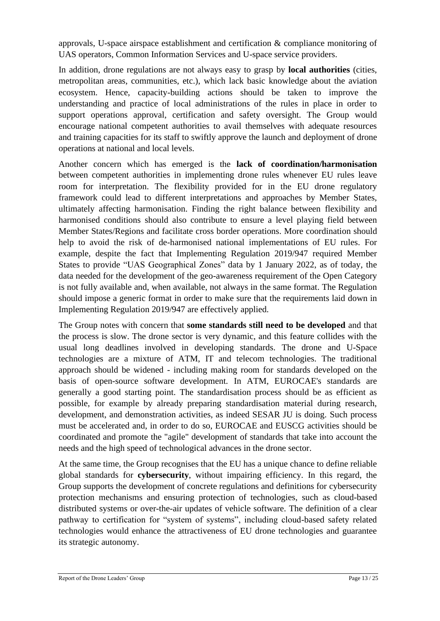approvals, U-space airspace establishment and certification & compliance monitoring of UAS operators, Common Information Services and U-space service providers.

In addition, drone regulations are not always easy to grasp by **local authorities** (cities, metropolitan areas, communities, etc.), which lack basic knowledge about the aviation ecosystem. Hence, capacity-building actions should be taken to improve the understanding and practice of local administrations of the rules in place in order to support operations approval, certification and safety oversight. The Group would encourage national competent authorities to avail themselves with adequate resources and training capacities for its staff to swiftly approve the launch and deployment of drone operations at national and local levels.

Another concern which has emerged is the **lack of coordination/harmonisation** between competent authorities in implementing drone rules whenever EU rules leave room for interpretation. The flexibility provided for in the EU drone regulatory framework could lead to different interpretations and approaches by Member States, ultimately affecting harmonisation. Finding the right balance between flexibility and harmonised conditions should also contribute to ensure a level playing field between Member States/Regions and facilitate cross border operations. More coordination should help to avoid the risk of de-harmonised national implementations of EU rules. For example, despite the fact that Implementing Regulation 2019/947 required Member States to provide "UAS Geographical Zones" data by 1 January 2022, as of today, the data needed for the development of the geo-awareness requirement of the Open Category is not fully available and, when available, not always in the same format. The Regulation should impose a generic format in order to make sure that the requirements laid down in Implementing Regulation 2019/947 are effectively applied.

The Group notes with concern that **some standards still need to be developed** and that the process is slow. The drone sector is very dynamic, and this feature collides with the usual long deadlines involved in developing standards. The drone and U-Space technologies are a mixture of ATM, IT and telecom technologies. The traditional approach should be widened - including making room for standards developed on the basis of open-source software development. In ATM, EUROCAE's standards are generally a good starting point. The standardisation process should be as efficient as possible, for example by already preparing standardisation material during research, development, and demonstration activities, as indeed SESAR JU is doing. Such process must be accelerated and, in order to do so, EUROCAE and EUSCG activities should be coordinated and promote the "agile" development of standards that take into account the needs and the high speed of technological advances in the drone sector.

At the same time, the Group recognises that the EU has a unique chance to define reliable global standards for **cybersecurity**, without impairing efficiency. In this regard, the Group supports the development of concrete regulations and definitions for cybersecurity protection mechanisms and ensuring protection of technologies, such as cloud-based distributed systems or over-the-air updates of vehicle software. The definition of a clear pathway to certification for "system of systems", including cloud-based safety related technologies would enhance the attractiveness of EU drone technologies and guarantee its strategic autonomy.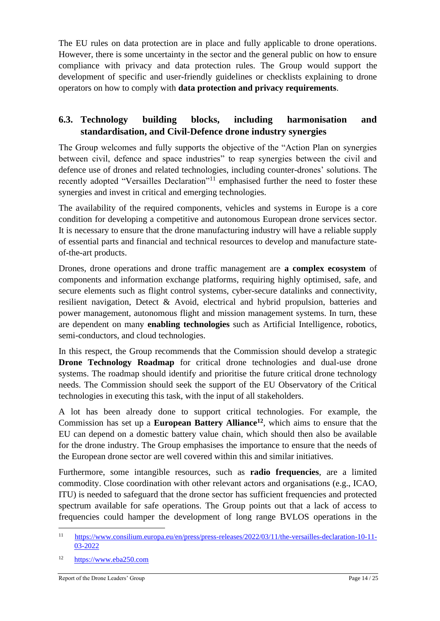The EU rules on data protection are in place and fully applicable to drone operations. However, there is some uncertainty in the sector and the general public on how to ensure compliance with privacy and data protection rules. The Group would support the development of specific and user-friendly guidelines or checklists explaining to drone operators on how to comply with **data protection and privacy requirements**.

#### <span id="page-13-0"></span>**6.3. Technology building blocks, including harmonisation and standardisation, and Civil-Defence drone industry synergies**

The Group welcomes and fully supports the objective of the "Action Plan on synergies between civil, defence and space industries" to reap synergies between the civil and defence use of drones and related technologies, including counter-drones' solutions. The recently adopted "Versailles Declaration"<sup>11</sup> emphasised further the need to foster these synergies and invest in critical and emerging technologies.

The availability of the required components, vehicles and systems in Europe is a core condition for developing a competitive and autonomous European drone services sector. It is necessary to ensure that the drone manufacturing industry will have a reliable supply of essential parts and financial and technical resources to develop and manufacture stateof-the-art products.

Drones, drone operations and drone traffic management are **a complex ecosystem** of components and information exchange platforms, requiring highly optimised, safe, and secure elements such as flight control systems, cyber-secure datalinks and connectivity, resilient navigation, Detect & Avoid, electrical and hybrid propulsion, batteries and power management, autonomous flight and mission management systems. In turn, these are dependent on many **enabling technologies** such as Artificial Intelligence, robotics, semi-conductors, and cloud technologies.

In this respect, the Group recommends that the Commission should develop a strategic **Drone Technology Roadmap** for critical drone technologies and dual-use drone systems. The roadmap should identify and prioritise the future critical drone technology needs. The Commission should seek the support of the EU Observatory of the Critical technologies in executing this task, with the input of all stakeholders.

A lot has been already done to support critical technologies. For example, the Commission has set up a **European Battery Alliance<sup>12</sup>**, which aims to ensure that the EU can depend on a domestic battery value chain, which should then also be available for the drone industry. The Group emphasises the importance to ensure that the needs of the European drone sector are well covered within this and similar initiatives.

Furthermore, some intangible resources, such as **radio frequencies**, are a limited commodity. Close coordination with other relevant actors and organisations (e.g., ICAO, ITU) is needed to safeguard that the drone sector has sufficient frequencies and protected spectrum available for safe operations. The Group points out that a lack of access to frequencies could hamper the development of long range BVLOS operations in the

<sup>11</sup> [https://www.consilium.europa.eu/en/press/press-releases/2022/03/11/the-versailles-declaration-10-11-](https://www.consilium.europa.eu/en/press/press-releases/2022/03/11/the-versailles-declaration-10-11-03-2022) [03-2022](https://www.consilium.europa.eu/en/press/press-releases/2022/03/11/the-versailles-declaration-10-11-03-2022)

<sup>12</sup> [https://www.eba250.com](https://www.eba250.com/)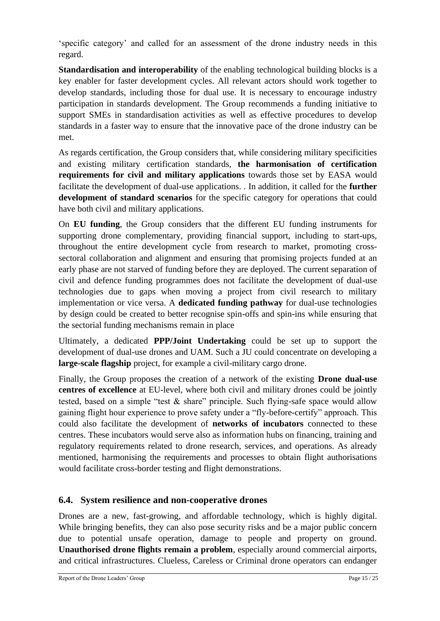'specific category' and called for an assessment of the drone industry needs in this regard.

**Standardisation and interoperability** of the enabling technological building blocks is a key enabler for faster development cycles. All relevant actors should work together to develop standards, including those for dual use. It is necessary to encourage industry participation in standards development. The Group recommends a funding initiative to support SMEs in standardisation activities as well as effective procedures to develop standards in a faster way to ensure that the innovative pace of the drone industry can be met.

As regards certification, the Group considers that, while considering military specificities and existing military certification standards, **the harmonisation of certification requirements for civil and military applications** towards those set by EASA would facilitate the development of dual-use applications. . In addition, it called for the **further development of standard scenarios** for the specific category for operations that could have both civil and military applications.

On **EU funding**, the Group considers that the different EU funding instruments for supporting drone complementary, providing financial support, including to start-ups, throughout the entire development cycle from research to market, promoting crosssectoral collaboration and alignment and ensuring that promising projects funded at an early phase are not starved of funding before they are deployed. The current separation of civil and defence funding programmes does not facilitate the development of dual-use technologies due to gaps when moving a project from civil research to military implementation or vice versa. A **dedicated funding pathway** for dual-use technologies by design could be created to better recognise spin-offs and spin-ins while ensuring that the sectorial funding mechanisms remain in place

Ultimately, a dedicated **PPP/Joint Undertaking** could be set up to support the development of dual-use drones and UAM. Such a JU could concentrate on developing a **large-scale flagship** project, for example a civil-military cargo drone.

Finally, the Group proposes the creation of a network of the existing **Drone dual-use centres of excellence** at EU-level, where both civil and military drones could be jointly tested, based on a simple "test & share" principle. Such flying-safe space would allow gaining flight hour experience to prove safety under a "fly-before-certify" approach. This could also facilitate the development of **networks of incubators** connected to these centres. These incubators would serve also as information hubs on financing, training and regulatory requirements related to drone research, services, and operations. As already mentioned, harmonising the requirements and processes to obtain flight authorisations would facilitate cross-border testing and flight demonstrations.

#### <span id="page-14-0"></span>**6.4. System resilience and non-cooperative drones**

Drones are a new, fast-growing, and affordable technology, which is highly digital. While bringing benefits, they can also pose security risks and be a major public concern due to potential unsafe operation, damage to people and property on ground. **Unauthorised drone flights remain a problem**, especially around commercial airports, and critical infrastructures. Clueless, Careless or Criminal drone operators can endanger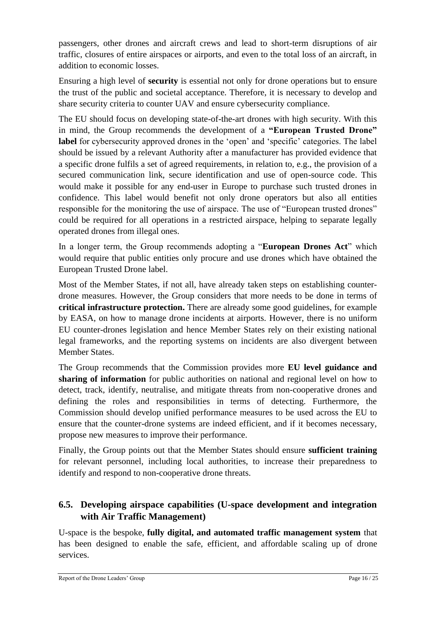passengers, other drones and aircraft crews and lead to short-term disruptions of air traffic, closures of entire airspaces or airports, and even to the total loss of an aircraft, in addition to economic losses.

Ensuring a high level of **security** is essential not only for drone operations but to ensure the trust of the public and societal acceptance. Therefore, it is necessary to develop and share security criteria to counter UAV and ensure cybersecurity compliance.

The EU should focus on developing state-of-the-art drones with high security. With this in mind, the Group recommends the development of a **"European Trusted Drone" label** for cybersecurity approved drones in the 'open' and 'specific' categories. The label should be issued by a relevant Authority after a manufacturer has provided evidence that a specific drone fulfils a set of agreed requirements, in relation to, e.g., the provision of a secured communication link, secure identification and use of open-source code. This would make it possible for any end-user in Europe to purchase such trusted drones in confidence. This label would benefit not only drone operators but also all entities responsible for the monitoring the use of airspace. The use of "European trusted drones" could be required for all operations in a restricted airspace, helping to separate legally operated drones from illegal ones.

In a longer term, the Group recommends adopting a "**European Drones Act**" which would require that public entities only procure and use drones which have obtained the European Trusted Drone label.

Most of the Member States, if not all, have already taken steps on establishing counterdrone measures. However, the Group considers that more needs to be done in terms of **critical infrastructure protection.** There are already some good guidelines, for example by EASA, on how to manage drone incidents at airports. However, there is no uniform EU counter-drones legislation and hence Member States rely on their existing national legal frameworks, and the reporting systems on incidents are also divergent between Member States.

The Group recommends that the Commission provides more **EU level guidance and sharing of information** for public authorities on national and regional level on how to detect, track, identify, neutralise, and mitigate threats from non-cooperative drones and defining the roles and responsibilities in terms of detecting. Furthermore, the Commission should develop unified performance measures to be used across the EU to ensure that the counter-drone systems are indeed efficient, and if it becomes necessary, propose new measures to improve their performance.

Finally, the Group points out that the Member States should ensure **sufficient training** for relevant personnel, including local authorities, to increase their preparedness to identify and respond to non-cooperative drone threats.

#### <span id="page-15-0"></span>**6.5. Developing airspace capabilities (U-space development and integration with Air Traffic Management)**

U-space is the bespoke, **fully digital, and automated traffic management system** that has been designed to enable the safe, efficient, and affordable scaling up of drone services.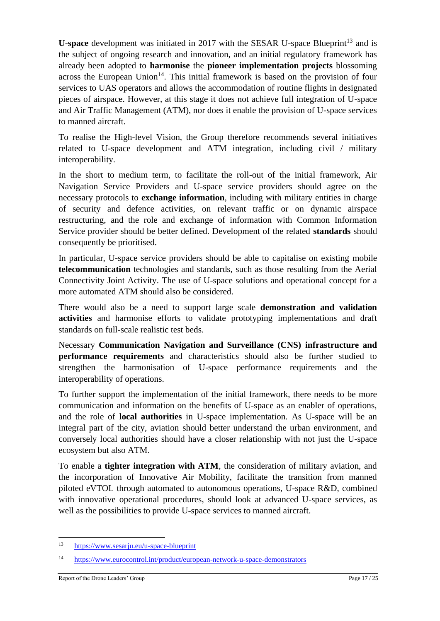**U-space** development was initiated in 2017 with the SESAR U-space Blueprint<sup>13</sup> and is the subject of ongoing research and innovation, and an initial regulatory framework has already been adopted to **harmonise** the **pioneer implementation projects** blossoming across the European Union<sup>14</sup>. This initial framework is based on the provision of four services to UAS operators and allows the accommodation of routine flights in designated pieces of airspace. However, at this stage it does not achieve full integration of U-space and Air Traffic Management (ATM), nor does it enable the provision of U-space services to manned aircraft.

To realise the High-level Vision, the Group therefore recommends several initiatives related to U-space development and ATM integration, including civil / military interoperability.

In the short to medium term, to facilitate the roll-out of the initial framework, Air Navigation Service Providers and U-space service providers should agree on the necessary protocols to **exchange information**, including with military entities in charge of security and defence activities, on relevant traffic or on dynamic airspace restructuring, and the role and exchange of information with Common Information Service provider should be better defined. Development of the related **standards** should consequently be prioritised.

In particular, U-space service providers should be able to capitalise on existing mobile **telecommunication** technologies and standards, such as those resulting from the Aerial Connectivity Joint Activity. The use of U-space solutions and operational concept for a more automated ATM should also be considered.

There would also be a need to support large scale **demonstration and validation activities** and harmonise efforts to validate prototyping implementations and draft standards on full-scale realistic test beds.

Necessary **Communication Navigation and Surveillance (CNS) infrastructure and performance requirements** and characteristics should also be further studied to strengthen the harmonisation of U-space performance requirements and the interoperability of operations.

To further support the implementation of the initial framework, there needs to be more communication and information on the benefits of U-space as an enabler of operations, and the role of **local authorities** in U-space implementation. As U-space will be an integral part of the city, aviation should better understand the urban environment, and conversely local authorities should have a closer relationship with not just the U-space ecosystem but also ATM.

To enable a **tighter integration with ATM**, the consideration of military aviation, and the incorporation of Innovative Air Mobility, facilitate the transition from manned piloted eVTOL through automated to autonomous operations, U-space R&D, combined with innovative operational procedures, should look at advanced U-space services, as well as the possibilities to provide U-space services to manned aircraft.

<sup>13</sup> <https://www.sesarju.eu/u-space-blueprint>

<sup>14</sup> <https://www.eurocontrol.int/product/european-network-u-space-demonstrators>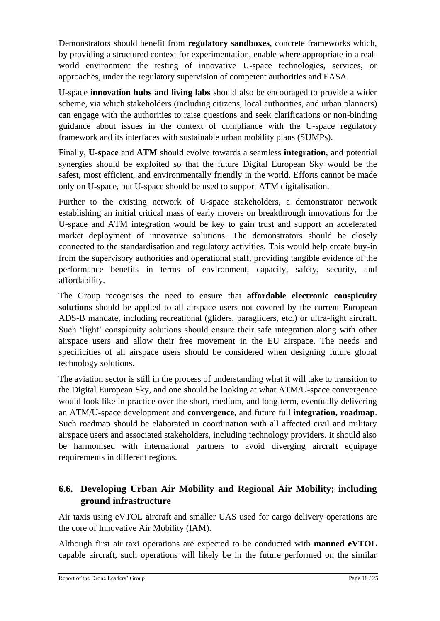Demonstrators should benefit from **regulatory sandboxes**, concrete frameworks which, by providing a structured context for experimentation, enable where appropriate in a realworld environment the testing of innovative U-space technologies, services, or approaches, under the regulatory supervision of competent authorities and EASA.

U-space **innovation hubs and living labs** should also be encouraged to provide a wider scheme, via which stakeholders (including citizens, local authorities, and urban planners) can engage with the authorities to raise questions and seek clarifications or non-binding guidance about issues in the context of compliance with the U-space regulatory framework and its interfaces with sustainable urban mobility plans (SUMPs).

Finally, **U-space** and **ATM** should evolve towards a seamless **integration**, and potential synergies should be exploited so that the future Digital European Sky would be the safest, most efficient, and environmentally friendly in the world. Efforts cannot be made only on U-space, but U-space should be used to support ATM digitalisation.

Further to the existing network of U-space stakeholders, a demonstrator network establishing an initial critical mass of early movers on breakthrough innovations for the U-space and ATM integration would be key to gain trust and support an accelerated market deployment of innovative solutions. The demonstrators should be closely connected to the standardisation and regulatory activities. This would help create buy-in from the supervisory authorities and operational staff, providing tangible evidence of the performance benefits in terms of environment, capacity, safety, security, and affordability.

The Group recognises the need to ensure that **affordable electronic conspicuity solutions** should be applied to all airspace users not covered by the current European ADS-B mandate, including recreational (gliders, paragliders, etc.) or ultra-light aircraft. Such 'light' conspicuity solutions should ensure their safe integration along with other airspace users and allow their free movement in the EU airspace. The needs and specificities of all airspace users should be considered when designing future global technology solutions.

The aviation sector is still in the process of understanding what it will take to transition to the Digital European Sky, and one should be looking at what ATM/U-space convergence would look like in practice over the short, medium, and long term, eventually delivering an ATM/U-space development and **convergence**, and future full **integration, roadmap**. Such roadmap should be elaborated in coordination with all affected civil and military airspace users and associated stakeholders, including technology providers. It should also be harmonised with international partners to avoid diverging aircraft equipage requirements in different regions.

#### <span id="page-17-0"></span>**6.6. Developing Urban Air Mobility and Regional Air Mobility; including ground infrastructure**

Air taxis using eVTOL aircraft and smaller UAS used for cargo delivery operations are the core of Innovative Air Mobility (IAM).

Although first air taxi operations are expected to be conducted with **manned eVTOL** capable aircraft, such operations will likely be in the future performed on the similar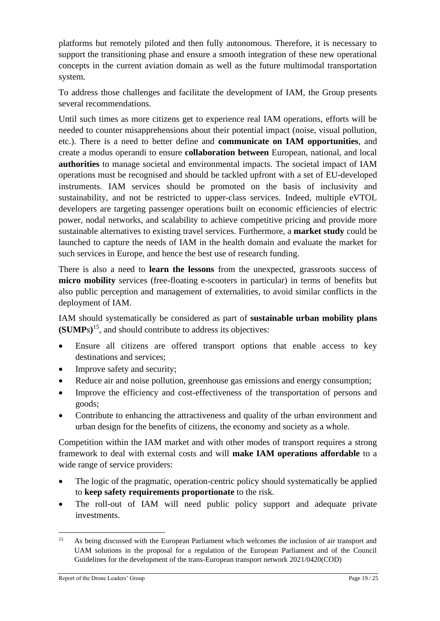platforms but remotely piloted and then fully autonomous. Therefore, it is necessary to support the transitioning phase and ensure a smooth integration of these new operational concepts in the current aviation domain as well as the future multimodal transportation system.

To address those challenges and facilitate the development of IAM, the Group presents several recommendations.

Until such times as more citizens get to experience real IAM operations, efforts will be needed to counter misapprehensions about their potential impact (noise, visual pollution, etc.). There is a need to better define and **communicate on IAM opportunities**, and create a modus operandi to ensure **collaboration between** European, national, and local **authorities** to manage societal and environmental impacts. The societal impact of IAM operations must be recognised and should be tackled upfront with a set of EU-developed instruments. IAM services should be promoted on the basis of inclusivity and sustainability, and not be restricted to upper-class services. Indeed, multiple eVTOL developers are targeting passenger operations built on economic efficiencies of electric power, nodal networks, and scalability to achieve competitive pricing and provide more sustainable alternatives to existing travel services. Furthermore, a **market study** could be launched to capture the needs of IAM in the health domain and evaluate the market for such services in Europe, and hence the best use of research funding.

There is also a need to **learn the lessons** from the unexpected, grassroots success of **micro mobility** services (free-floating e-scooters in particular) in terms of benefits but also public perception and management of externalities, to avoid similar conflicts in the deployment of IAM.

IAM should systematically be considered as part of **sustainable urban mobility plans (SUMP**s**)** <sup>15</sup>, and should contribute to address its objectives:

- Ensure all citizens are offered transport options that enable access to key destinations and services;
- Improve safety and security:
- Reduce air and noise pollution, greenhouse gas emissions and energy consumption;
- Improve the efficiency and cost-effectiveness of the transportation of persons and goods;
- Contribute to enhancing the attractiveness and quality of the urban environment and urban design for the benefits of citizens, the economy and society as a whole.

Competition within the IAM market and with other modes of transport requires a strong framework to deal with external costs and will **make IAM operations affordable** to a wide range of service providers:

- The logic of the pragmatic, operation-centric policy should systematically be applied to **keep safety requirements proportionate** to the risk.
- The roll-out of IAM will need public policy support and adequate private investments.

<sup>&</sup>lt;sup>15</sup> As being discussed with the European Parliament which welcomes the inclusion of air transport and UAM solutions in the proposal for a regulation of the European Parliament and of the Council Guidelines for the development of the trans-European transport network 2021/0420(COD)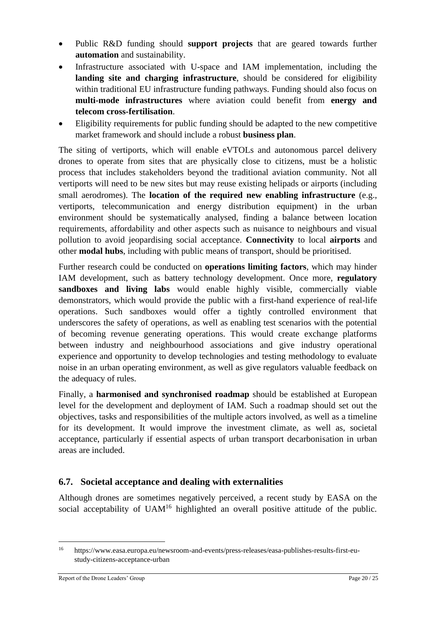- Public R&D funding should **support projects** that are geared towards further **automation** and sustainability.
- Infrastructure associated with U-space and IAM implementation, including the **landing site and charging infrastructure**, should be considered for eligibility within traditional EU infrastructure funding pathways. Funding should also focus on **multi-mode infrastructures** where aviation could benefit from **energy and telecom cross-fertilisation**.
- Eligibility requirements for public funding should be adapted to the new competitive market framework and should include a robust **business plan**.

The siting of vertiports, which will enable eVTOLs and autonomous parcel delivery drones to operate from sites that are physically close to citizens, must be a holistic process that includes stakeholders beyond the traditional aviation community. Not all vertiports will need to be new sites but may reuse existing helipads or airports (including small aerodromes). The **location of the required new enabling infrastructure** (e.g., vertiports, telecommunication and energy distribution equipment) in the urban environment should be systematically analysed, finding a balance between location requirements, affordability and other aspects such as nuisance to neighbours and visual pollution to avoid jeopardising social acceptance. **Connectivity** to local **airports** and other **modal hubs**, including with public means of transport, should be prioritised.

Further research could be conducted on **operations limiting factors**, which may hinder IAM development, such as battery technology development. Once more, **regulatory sandboxes and living labs** would enable highly visible, commercially viable demonstrators, which would provide the public with a first-hand experience of real-life operations. Such sandboxes would offer a tightly controlled environment that underscores the safety of operations, as well as enabling test scenarios with the potential of becoming revenue generating operations. This would create exchange platforms between industry and neighbourhood associations and give industry operational experience and opportunity to develop technologies and testing methodology to evaluate noise in an urban operating environment, as well as give regulators valuable feedback on the adequacy of rules.

Finally, a **harmonised and synchronised roadmap** should be established at European level for the development and deployment of IAM. Such a roadmap should set out the objectives, tasks and responsibilities of the multiple actors involved, as well as a timeline for its development. It would improve the investment climate, as well as, societal acceptance, particularly if essential aspects of urban transport decarbonisation in urban areas are included.

#### <span id="page-19-0"></span>**6.7. Societal acceptance and dealing with externalities**

Although drones are sometimes negatively perceived, a recent study by EASA on the social acceptability of  $UAM<sup>16</sup>$  highlighted an overall positive attitude of the public.

<sup>16</sup> https://www.easa.europa.eu/newsroom-and-events/press-releases/easa-publishes-results-first-eustudy-citizens-acceptance-urban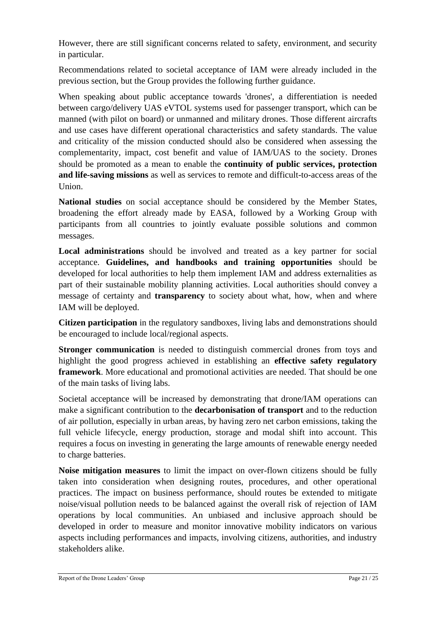However, there are still significant concerns related to safety, environment, and security in particular.

Recommendations related to societal acceptance of IAM were already included in the previous section, but the Group provides the following further guidance.

When speaking about public acceptance towards 'drones', a differentiation is needed between cargo/delivery UAS eVTOL systems used for passenger transport, which can be manned (with pilot on board) or unmanned and military drones. Those different aircrafts and use cases have different operational characteristics and safety standards. The value and criticality of the mission conducted should also be considered when assessing the complementarity, impact, cost benefit and value of IAM/UAS to the society. Drones should be promoted as a mean to enable the **continuity of public services, protection and life-saving missions** as well as services to remote and difficult-to-access areas of the Union.

**National studies** on social acceptance should be considered by the Member States, broadening the effort already made by EASA, followed by a Working Group with participants from all countries to jointly evaluate possible solutions and common messages.

**Local administrations** should be involved and treated as a key partner for social acceptance. **Guidelines, and handbooks and training opportunities** should be developed for local authorities to help them implement IAM and address externalities as part of their sustainable mobility planning activities. Local authorities should convey a message of certainty and **transparency** to society about what, how, when and where IAM will be deployed.

**Citizen participation** in the regulatory sandboxes, living labs and demonstrations should be encouraged to include local/regional aspects.

**Stronger communication** is needed to distinguish commercial drones from toys and highlight the good progress achieved in establishing an **effective safety regulatory framework**. More educational and promotional activities are needed. That should be one of the main tasks of living labs.

Societal acceptance will be increased by demonstrating that drone/IAM operations can make a significant contribution to the **decarbonisation of transport** and to the reduction of air pollution, especially in urban areas, by having zero net carbon emissions, taking the full vehicle lifecycle, energy production, storage and modal shift into account. This requires a focus on investing in generating the large amounts of renewable energy needed to charge batteries.

**Noise mitigation measures** to limit the impact on over-flown citizens should be fully taken into consideration when designing routes, procedures, and other operational practices. The impact on business performance, should routes be extended to mitigate noise/visual pollution needs to be balanced against the overall risk of rejection of IAM operations by local communities. An unbiased and inclusive approach should be developed in order to measure and monitor innovative mobility indicators on various aspects including performances and impacts, involving citizens, authorities, and industry stakeholders alike.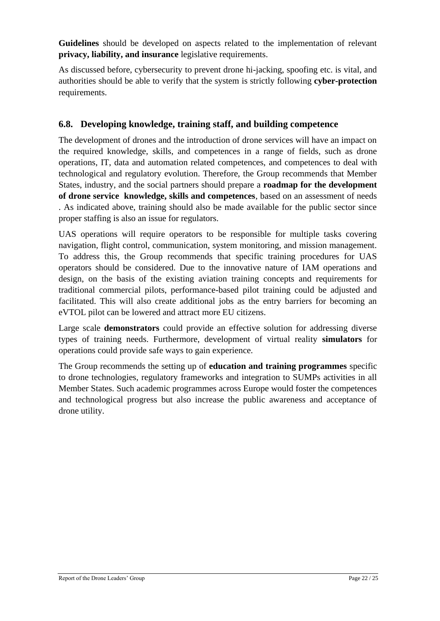**Guidelines** should be developed on aspects related to the implementation of relevant **privacy, liability, and insurance** legislative requirements.

As discussed before, cybersecurity to prevent drone hi-jacking, spoofing etc. is vital, and authorities should be able to verify that the system is strictly following **cyber-protection** requirements.

#### <span id="page-21-0"></span>**6.8. Developing knowledge, training staff, and building competence**

The development of drones and the introduction of drone services will have an impact on the required knowledge, skills, and competences in a range of fields, such as drone operations, IT, data and automation related competences, and competences to deal with technological and regulatory evolution. Therefore, the Group recommends that Member States, industry, and the social partners should prepare a **roadmap for the development of drone service knowledge, skills and competences**, based on an assessment of needs . As indicated above, training should also be made available for the public sector since proper staffing is also an issue for regulators.

UAS operations will require operators to be responsible for multiple tasks covering navigation, flight control, communication, system monitoring, and mission management. To address this, the Group recommends that specific training procedures for UAS operators should be considered. Due to the innovative nature of IAM operations and design, on the basis of the existing aviation training concepts and requirements for traditional commercial pilots, performance-based pilot training could be adjusted and facilitated. This will also create additional jobs as the entry barriers for becoming an eVTOL pilot can be lowered and attract more EU citizens.

Large scale **demonstrators** could provide an effective solution for addressing diverse types of training needs. Furthermore, development of virtual reality **simulators** for operations could provide safe ways to gain experience.

The Group recommends the setting up of **education and training programmes** specific to drone technologies, regulatory frameworks and integration to SUMPs activities in all Member States. Such academic programmes across Europe would foster the competences and technological progress but also increase the public awareness and acceptance of drone utility.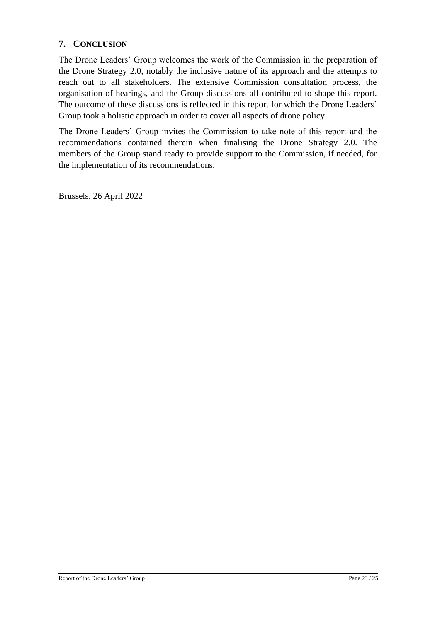#### <span id="page-22-0"></span>**7. CONCLUSION**

The Drone Leaders' Group welcomes the work of the Commission in the preparation of the Drone Strategy 2.0, notably the inclusive nature of its approach and the attempts to reach out to all stakeholders. The extensive Commission consultation process, the organisation of hearings, and the Group discussions all contributed to shape this report. The outcome of these discussions is reflected in this report for which the Drone Leaders' Group took a holistic approach in order to cover all aspects of drone policy.

The Drone Leaders' Group invites the Commission to take note of this report and the recommendations contained therein when finalising the Drone Strategy 2.0. The members of the Group stand ready to provide support to the Commission, if needed, for the implementation of its recommendations.

Brussels, 26 April 2022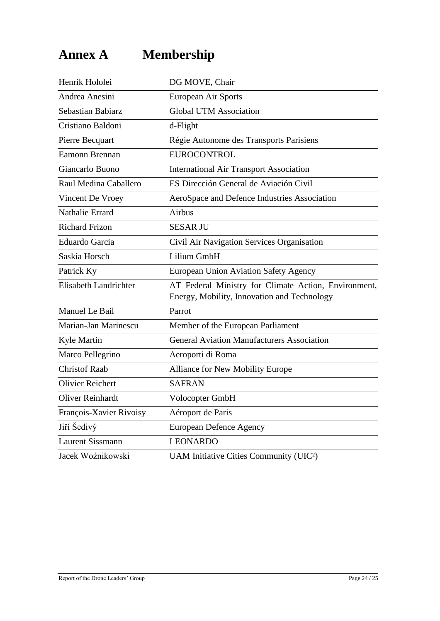### <span id="page-23-0"></span>**Annex A Membership**

| Henrik Hololei          | DG MOVE, Chair                                                                                      |
|-------------------------|-----------------------------------------------------------------------------------------------------|
| Andrea Anesini          | European Air Sports                                                                                 |
| Sebastian Babiarz       | <b>Global UTM Association</b>                                                                       |
| Cristiano Baldoni       | d-Flight                                                                                            |
| Pierre Becquart         | Régie Autonome des Transports Parisiens                                                             |
| Eamonn Brennan          | <b>EUROCONTROL</b>                                                                                  |
| Giancarlo Buono         | <b>International Air Transport Association</b>                                                      |
| Raul Medina Caballero   | ES Dirección General de Aviación Civil                                                              |
| Vincent De Vroey        | AeroSpace and Defence Industries Association                                                        |
| Nathalie Errard         | Airbus                                                                                              |
| <b>Richard Frizon</b>   | <b>SESAR JU</b>                                                                                     |
| Eduardo Garcia          | Civil Air Navigation Services Organisation                                                          |
| Saskia Horsch           | Lilium GmbH                                                                                         |
| Patrick Ky              | <b>European Union Aviation Safety Agency</b>                                                        |
| Elisabeth Landrichter   | AT Federal Ministry for Climate Action, Environment,<br>Energy, Mobility, Innovation and Technology |
| Manuel Le Bail          | Parrot                                                                                              |
| Marian-Jan Marinescu    | Member of the European Parliament                                                                   |
| Kyle Martin             | <b>General Aviation Manufacturers Association</b>                                                   |
| Marco Pellegrino        | Aeroporti di Roma                                                                                   |
| <b>Christof Raab</b>    | Alliance for New Mobility Europe                                                                    |
| <b>Olivier Reichert</b> | <b>SAFRAN</b>                                                                                       |
| <b>Oliver Reinhardt</b> | Volocopter GmbH                                                                                     |
| François-Xavier Rivoisy | Aéroport de Paris                                                                                   |
| Jiří Šedivý             | <b>European Defence Agency</b>                                                                      |
| <b>Laurent Sissmann</b> | <b>LEONARDO</b>                                                                                     |
| Jacek Woźnikowski       | UAM Initiative Cities Community (UIC <sup>2</sup> )                                                 |